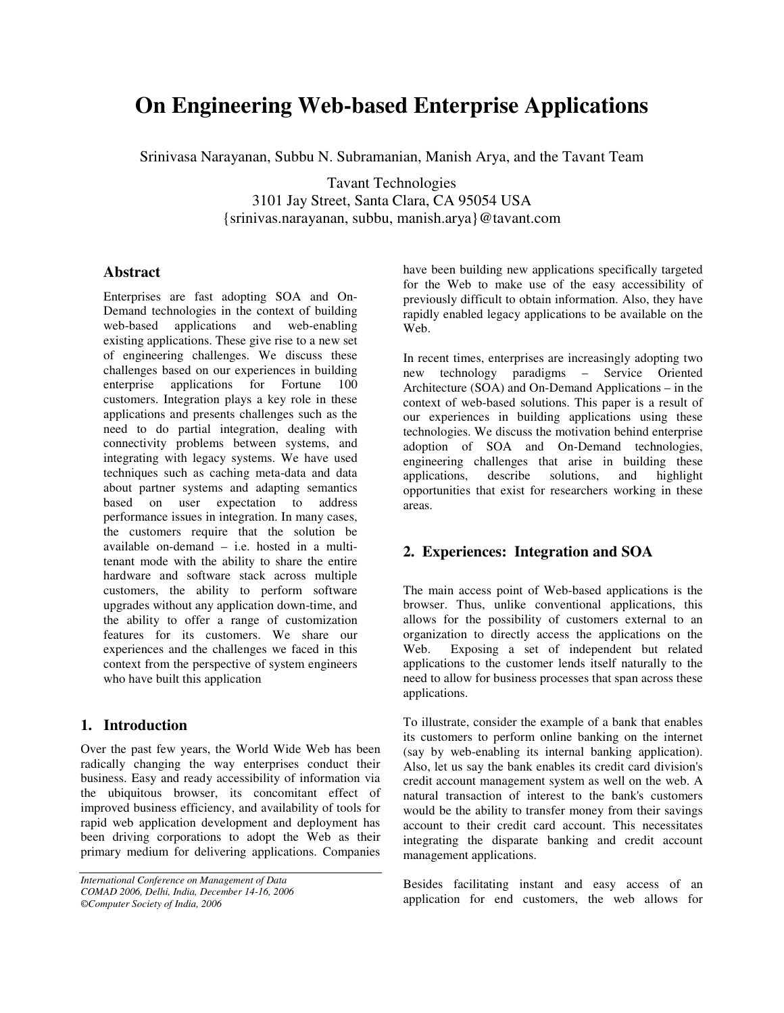# **On Engineering Web-based Enterprise Applications**

Srinivasa Narayanan, Subbu N. Subramanian, Manish Arya, and the Tavant Team

Tavant Technologies 3101 Jay Street, Santa Clara, CA 95054 USA {srinivas.narayanan, subbu, manish.arya}@tavant.com

#### **Abstract**

Enterprises are fast adopting SOA and On-Demand technologies in the context of building web-based applications and web-enabling existing applications. These give rise to a new set of engineering challenges. We discuss these challenges based on our experiences in building enterprise applications for Fortune 100 customers. Integration plays a key role in these applications and presents challenges such as the need to do partial integration, dealing with connectivity problems between systems, and integrating with legacy systems. We have used techniques such as caching meta-data and data about partner systems and adapting semantics based on user expectation to address performance issues in integration. In many cases, the customers require that the solution be available on-demand – i.e. hosted in a multitenant mode with the ability to share the entire hardware and software stack across multiple customers, the ability to perform software upgrades without any application down-time, and the ability to offer a range of customization features for its customers. We share our experiences and the challenges we faced in this context from the perspective of system engineers who have built this application

## **1. Introduction**

Over the past few years, the World Wide Web has been radically changing the way enterprises conduct their business. Easy and ready accessibility of information via the ubiquitous browser, its concomitant effect of improved business efficiency, and availability of tools for rapid web application development and deployment has been driving corporations to adopt the Web as their primary medium for delivering applications. Companies

have been building new applications specifically targeted for the Web to make use of the easy accessibility of previously difficult to obtain information. Also, they have rapidly enabled legacy applications to be available on the Web.

In recent times, enterprises are increasingly adopting two new technology paradigms – Service Oriented Architecture (SOA) and On-Demand Applications – in the context of web-based solutions. This paper is a result of our experiences in building applications using these technologies. We discuss the motivation behind enterprise adoption of SOA and On-Demand technologies, engineering challenges that arise in building these applications, describe solutions, and highlight opportunities that exist for researchers working in these areas.

# **2. Experiences: Integration and SOA**

The main access point of Web-based applications is the browser. Thus, unlike conventional applications, this allows for the possibility of customers external to an organization to directly access the applications on the Web. Exposing a set of independent but related applications to the customer lends itself naturally to the need to allow for business processes that span across these applications.

To illustrate, consider the example of a bank that enables its customers to perform online banking on the internet (say by web-enabling its internal banking application). Also, let us say the bank enables its credit card division's credit account management system as well on the web. A natural transaction of interest to the bank's customers would be the ability to transfer money from their savings account to their credit card account. This necessitates integrating the disparate banking and credit account management applications.

Besides facilitating instant and easy access of an application for end customers, the web allows for

*International Conference on Management of Data COMAD 2006, Delhi, India, December 14-16, 2006 ©Computer Society of India, 2006*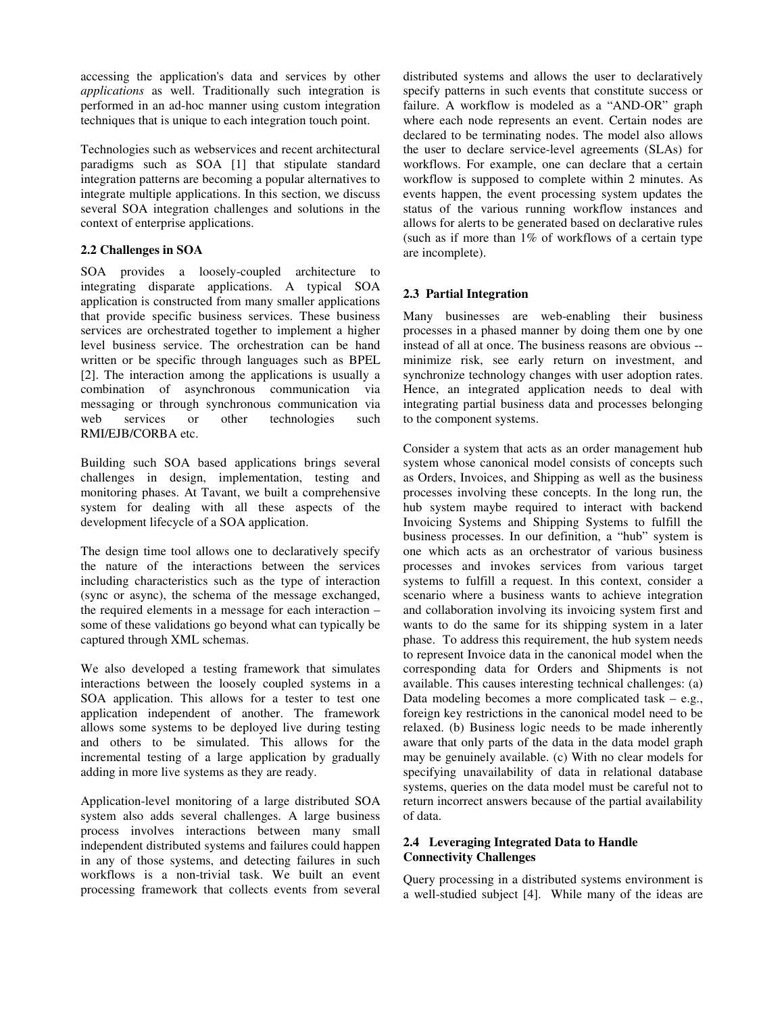accessing the application's data and services by other *applications* as well. Traditionally such integration is performed in an ad-hoc manner using custom integration techniques that is unique to each integration touch point.

Technologies such as webservices and recent architectural paradigms such as SOA [1] that stipulate standard integration patterns are becoming a popular alternatives to integrate multiple applications. In this section, we discuss several SOA integration challenges and solutions in the context of enterprise applications.

#### **2.2 Challenges in SOA**

SOA provides a loosely-coupled architecture to integrating disparate applications. A typical SOA application is constructed from many smaller applications that provide specific business services. These business services are orchestrated together to implement a higher level business service. The orchestration can be hand written or be specific through languages such as BPEL [2]. The interaction among the applications is usually a combination of asynchronous communication via messaging or through synchronous communication via web services or other technologies such RMI/EJB/CORBA etc.

Building such SOA based applications brings several challenges in design, implementation, testing and monitoring phases. At Tavant, we built a comprehensive system for dealing with all these aspects of the development lifecycle of a SOA application.

The design time tool allows one to declaratively specify the nature of the interactions between the services including characteristics such as the type of interaction (sync or async), the schema of the message exchanged, the required elements in a message for each interaction – some of these validations go beyond what can typically be captured through XML schemas.

We also developed a testing framework that simulates interactions between the loosely coupled systems in a SOA application. This allows for a tester to test one application independent of another. The framework allows some systems to be deployed live during testing and others to be simulated. This allows for the incremental testing of a large application by gradually adding in more live systems as they are ready.

Application-level monitoring of a large distributed SOA system also adds several challenges. A large business process involves interactions between many small independent distributed systems and failures could happen in any of those systems, and detecting failures in such workflows is a non-trivial task. We built an event processing framework that collects events from several distributed systems and allows the user to declaratively specify patterns in such events that constitute success or failure. A workflow is modeled as a "AND-OR" graph where each node represents an event. Certain nodes are declared to be terminating nodes. The model also allows the user to declare service-level agreements (SLAs) for workflows. For example, one can declare that a certain workflow is supposed to complete within 2 minutes. As events happen, the event processing system updates the status of the various running workflow instances and allows for alerts to be generated based on declarative rules (such as if more than 1% of workflows of a certain type are incomplete).

#### **2.3 Partial Integration**

Many businesses are web-enabling their business processes in a phased manner by doing them one by one instead of all at once. The business reasons are obvious - minimize risk, see early return on investment, and synchronize technology changes with user adoption rates. Hence, an integrated application needs to deal with integrating partial business data and processes belonging to the component systems.

Consider a system that acts as an order management hub system whose canonical model consists of concepts such as Orders, Invoices, and Shipping as well as the business processes involving these concepts. In the long run, the hub system maybe required to interact with backend Invoicing Systems and Shipping Systems to fulfill the business processes. In our definition, a "hub" system is one which acts as an orchestrator of various business processes and invokes services from various target systems to fulfill a request. In this context, consider a scenario where a business wants to achieve integration and collaboration involving its invoicing system first and wants to do the same for its shipping system in a later phase. To address this requirement, the hub system needs to represent Invoice data in the canonical model when the corresponding data for Orders and Shipments is not available. This causes interesting technical challenges: (a) Data modeling becomes a more complicated task – e.g., foreign key restrictions in the canonical model need to be relaxed. (b) Business logic needs to be made inherently aware that only parts of the data in the data model graph may be genuinely available. (c) With no clear models for specifying unavailability of data in relational database systems, queries on the data model must be careful not to return incorrect answers because of the partial availability of data.

#### **2.4 Leveraging Integrated Data to Handle Connectivity Challenges**

Query processing in a distributed systems environment is a well-studied subject [4]. While many of the ideas are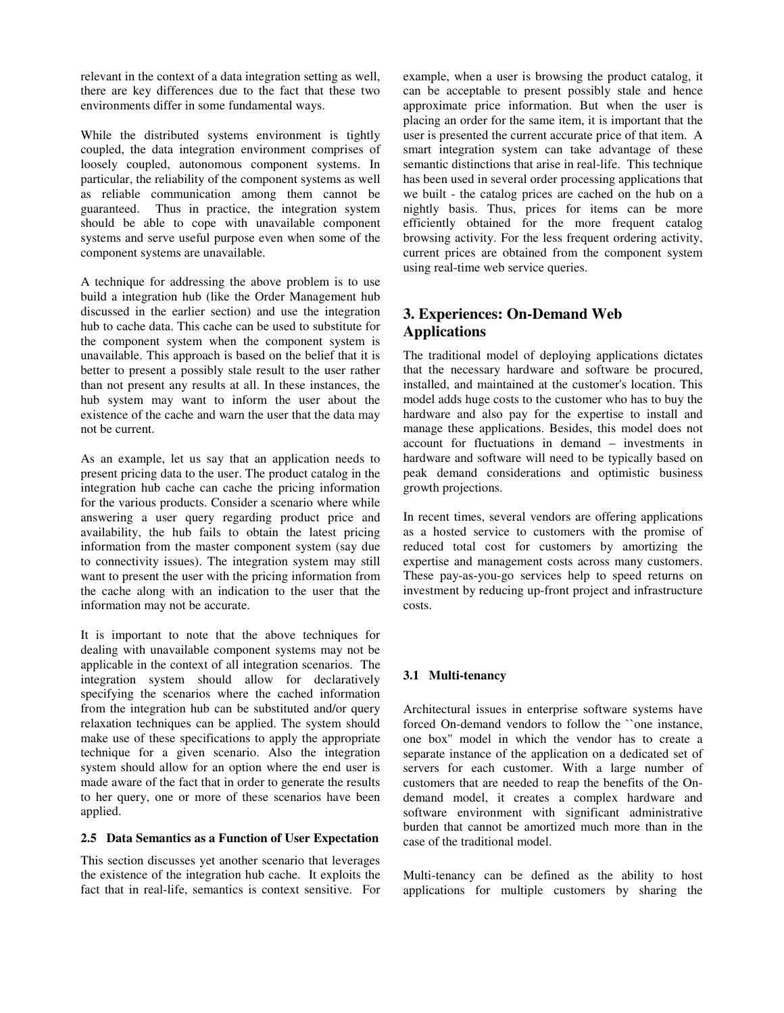relevant in the context of a data integration setting as well, there are key differences due to the fact that these two environments differ in some fundamental ways.

While the distributed systems environment is tightly coupled, the data integration environment comprises of loosely coupled, autonomous component systems. In particular, the reliability of the component systems as well as reliable communication among them cannot be guaranteed. Thus in practice, the integration system should be able to cope with unavailable component systems and serve useful purpose even when some of the component systems are unavailable.

A technique for addressing the above problem is to use build a integration hub (like the Order Management hub discussed in the earlier section) and use the integration hub to cache data. This cache can be used to substitute for the component system when the component system is unavailable. This approach is based on the belief that it is better to present a possibly stale result to the user rather than not present any results at all. In these instances, the hub system may want to inform the user about the existence of the cache and warn the user that the data may not be current.

As an example, let us say that an application needs to present pricing data to the user. The product catalog in the integration hub cache can cache the pricing information for the various products. Consider a scenario where while answering a user query regarding product price and availability, the hub fails to obtain the latest pricing information from the master component system (say due to connectivity issues). The integration system may still want to present the user with the pricing information from the cache along with an indication to the user that the information may not be accurate.

It is important to note that the above techniques for dealing with unavailable component systems may not be applicable in the context of all integration scenarios. The integration system should allow for declaratively specifying the scenarios where the cached information from the integration hub can be substituted and/or query relaxation techniques can be applied. The system should make use of these specifications to apply the appropriate technique for a given scenario. Also the integration system should allow for an option where the end user is made aware of the fact that in order to generate the results to her query, one or more of these scenarios have been applied.

#### **2.5 Data Semantics as a Function of User Expectation**

This section discusses yet another scenario that leverages the existence of the integration hub cache. It exploits the fact that in real-life, semantics is context sensitive. For example, when a user is browsing the product catalog, it can be acceptable to present possibly stale and hence approximate price information. But when the user is placing an order for the same item, it is important that the user is presented the current accurate price of that item. A smart integration system can take advantage of these semantic distinctions that arise in real-life. This technique has been used in several order processing applications that we built - the catalog prices are cached on the hub on a nightly basis. Thus, prices for items can be more efficiently obtained for the more frequent catalog browsing activity. For the less frequent ordering activity, current prices are obtained from the component system using real-time web service queries.

# **3. Experiences: On-Demand Web Applications**

The traditional model of deploying applications dictates that the necessary hardware and software be procured, installed, and maintained at the customer's location. This model adds huge costs to the customer who has to buy the hardware and also pay for the expertise to install and manage these applications. Besides, this model does not account for fluctuations in demand – investments in hardware and software will need to be typically based on peak demand considerations and optimistic business growth projections.

In recent times, several vendors are offering applications as a hosted service to customers with the promise of reduced total cost for customers by amortizing the expertise and management costs across many customers. These pay-as-you-go services help to speed returns on investment by reducing up-front project and infrastructure costs.

#### **3.1 Multi-tenancy**

Architectural issues in enterprise software systems have forced On-demand vendors to follow the ``one instance, one box'' model in which the vendor has to create a separate instance of the application on a dedicated set of servers for each customer. With a large number of customers that are needed to reap the benefits of the Ondemand model, it creates a complex hardware and software environment with significant administrative burden that cannot be amortized much more than in the case of the traditional model.

Multi-tenancy can be defined as the ability to host applications for multiple customers by sharing the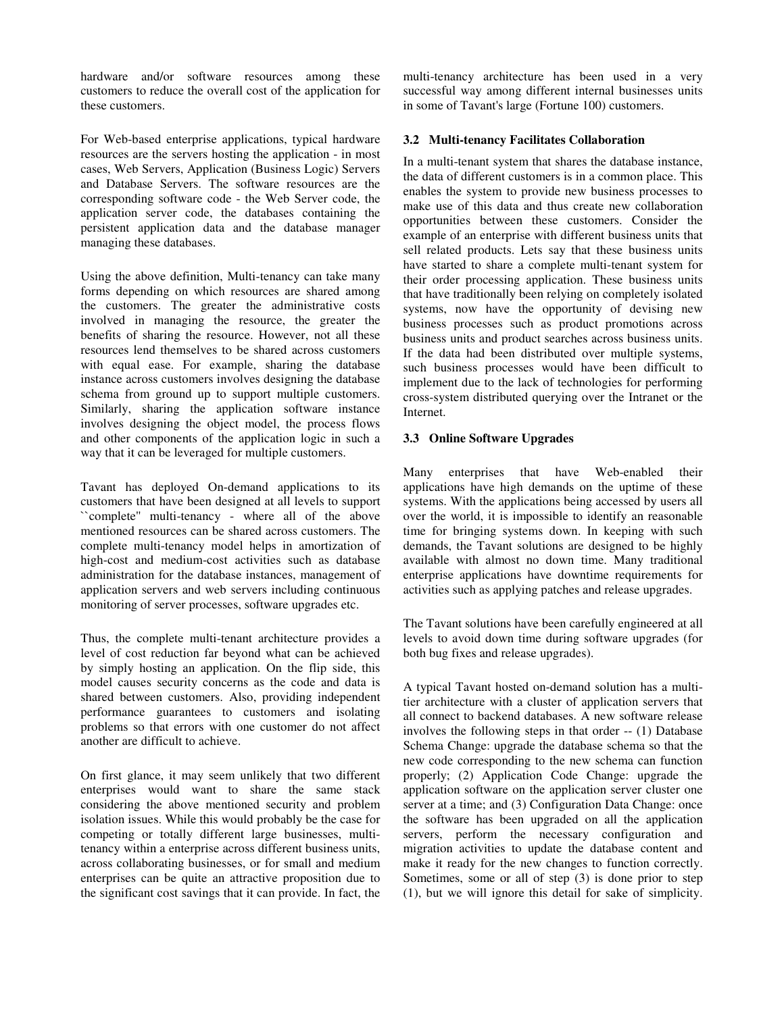hardware and/or software resources among these customers to reduce the overall cost of the application for these customers.

For Web-based enterprise applications, typical hardware resources are the servers hosting the application - in most cases, Web Servers, Application (Business Logic) Servers and Database Servers. The software resources are the corresponding software code - the Web Server code, the application server code, the databases containing the persistent application data and the database manager managing these databases.

Using the above definition, Multi-tenancy can take many forms depending on which resources are shared among the customers. The greater the administrative costs involved in managing the resource, the greater the benefits of sharing the resource. However, not all these resources lend themselves to be shared across customers with equal ease. For example, sharing the database instance across customers involves designing the database schema from ground up to support multiple customers. Similarly, sharing the application software instance involves designing the object model, the process flows and other components of the application logic in such a way that it can be leveraged for multiple customers.

Tavant has deployed On-demand applications to its customers that have been designed at all levels to support ``complete'' multi-tenancy - where all of the above mentioned resources can be shared across customers. The complete multi-tenancy model helps in amortization of high-cost and medium-cost activities such as database administration for the database instances, management of application servers and web servers including continuous monitoring of server processes, software upgrades etc.

Thus, the complete multi-tenant architecture provides a level of cost reduction far beyond what can be achieved by simply hosting an application. On the flip side, this model causes security concerns as the code and data is shared between customers. Also, providing independent performance guarantees to customers and isolating problems so that errors with one customer do not affect another are difficult to achieve.

On first glance, it may seem unlikely that two different enterprises would want to share the same stack considering the above mentioned security and problem isolation issues. While this would probably be the case for competing or totally different large businesses, multitenancy within a enterprise across different business units, across collaborating businesses, or for small and medium enterprises can be quite an attractive proposition due to the significant cost savings that it can provide. In fact, the

multi-tenancy architecture has been used in a very successful way among different internal businesses units in some of Tavant's large (Fortune 100) customers.

#### **3.2 Multi-tenancy Facilitates Collaboration**

In a multi-tenant system that shares the database instance, the data of different customers is in a common place. This enables the system to provide new business processes to make use of this data and thus create new collaboration opportunities between these customers. Consider the example of an enterprise with different business units that sell related products. Lets say that these business units have started to share a complete multi-tenant system for their order processing application. These business units that have traditionally been relying on completely isolated systems, now have the opportunity of devising new business processes such as product promotions across business units and product searches across business units. If the data had been distributed over multiple systems, such business processes would have been difficult to implement due to the lack of technologies for performing cross-system distributed querying over the Intranet or the Internet.

#### **3.3 Online Software Upgrades**

Many enterprises that have Web-enabled their applications have high demands on the uptime of these systems. With the applications being accessed by users all over the world, it is impossible to identify an reasonable time for bringing systems down. In keeping with such demands, the Tavant solutions are designed to be highly available with almost no down time. Many traditional enterprise applications have downtime requirements for activities such as applying patches and release upgrades.

The Tavant solutions have been carefully engineered at all levels to avoid down time during software upgrades (for both bug fixes and release upgrades).

A typical Tavant hosted on-demand solution has a multitier architecture with a cluster of application servers that all connect to backend databases. A new software release involves the following steps in that order -- (1) Database Schema Change: upgrade the database schema so that the new code corresponding to the new schema can function properly; (2) Application Code Change: upgrade the application software on the application server cluster one server at a time; and (3) Configuration Data Change: once the software has been upgraded on all the application servers, perform the necessary configuration and migration activities to update the database content and make it ready for the new changes to function correctly. Sometimes, some or all of step (3) is done prior to step (1), but we will ignore this detail for sake of simplicity.